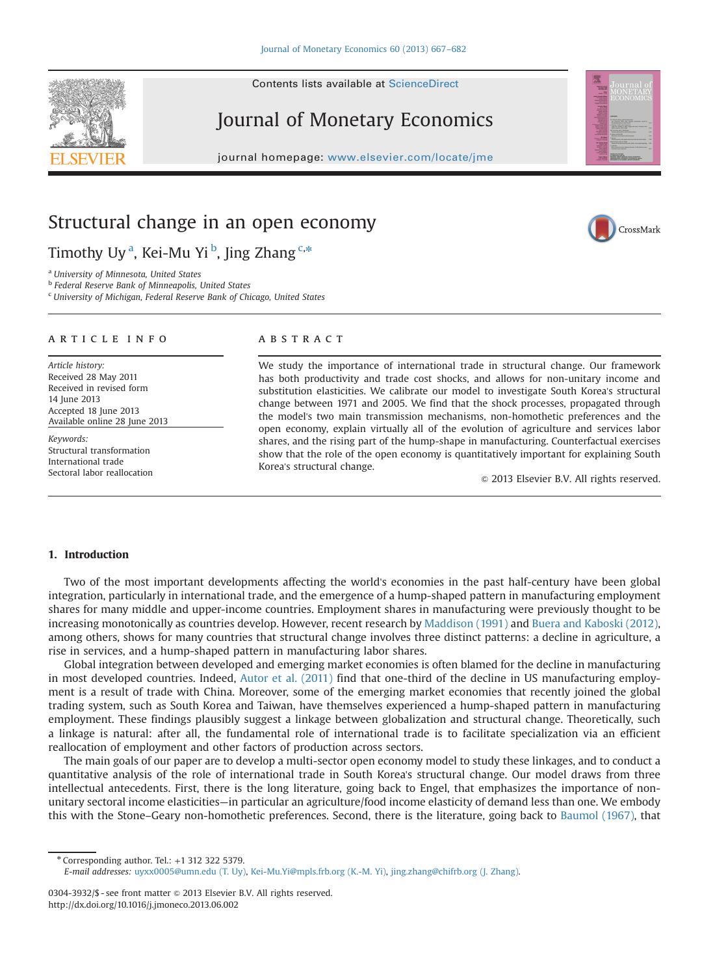# Journal of Monetary Economics

journal homepage: <www.elsevier.com/locate/jme>

## Structural change in an open economy

Timothy Uy<sup>a</sup>, Kei-Mu Yi<sup>b</sup>, Jing Zhang<sup>c,\*</sup>

<sup>a</sup> University of Minnesota, United States

**b Federal Reserve Bank of Minneapolis, United States** 

<sup>c</sup> University of Michigan, Federal Reserve Bank of Chicago, United States

## article info

Article history: Received 28 May 2011 Received in revised form 14 June 2013 Accepted 18 June 2013 Available online 28 June 2013

Keywords: Structural transformation International trade Sectoral labor reallocation

## **ABSTRACT**

We study the importance of international trade in structural change. Our framework has both productivity and trade cost shocks, and allows for non-unitary income and substitution elasticities. We calibrate our model to investigate South Korea's structural change between 1971 and 2005. We find that the shock processes, propagated through the model's two main transmission mechanisms, non-homothetic preferences and the open economy, explain virtually all of the evolution of agriculture and services labor shares, and the rising part of the hump-shape in manufacturing. Counterfactual exercises show that the role of the open economy is quantitatively important for explaining South Korea's structural change.

 $©$  2013 Elsevier B.V. All rights reserved.

## 1. Introduction

Two of the most important developments affecting the world's economies in the past half-century have been global integration, particularly in international trade, and the emergence of a hump-shaped pattern in manufacturing employment shares for many middle and upper-income countries. Employment shares in manufacturing were previously thought to be increasing monotonically as countries develop. However, recent research by [Maddison \(1991\)](#page-15-0) and [Buera and Kaboski \(2012\)](#page-14-0), among others, shows for many countries that structural change involves three distinct patterns: a decline in agriculture, a rise in services, and a hump-shaped pattern in manufacturing labor shares.

Global integration between developed and emerging market economies is often blamed for the decline in manufacturing in most developed countries. Indeed, [Autor et al. \(2011\)](#page-14-0) find that one-third of the decline in US manufacturing employment is a result of trade with China. Moreover, some of the emerging market economies that recently joined the global trading system, such as South Korea and Taiwan, have themselves experienced a hump-shaped pattern in manufacturing employment. These findings plausibly suggest a linkage between globalization and structural change. Theoretically, such a linkage is natural: after all, the fundamental role of international trade is to facilitate specialization via an efficient reallocation of employment and other factors of production across sectors.

The main goals of our paper are to develop a multi-sector open economy model to study these linkages, and to conduct a quantitative analysis of the role of international trade in South Korea's structural change. Our model draws from three intellectual antecedents. First, there is the long literature, going back to Engel, that emphasizes the importance of nonunitary sectoral income elasticities—in particular an agriculture/food income elasticity of demand less than one. We embody this with the Stone–Geary non-homothetic preferences. Second, there is the literature, going back to [Baumol \(1967\)](#page-14-0), that

 $*$  Corresponding author. Tel.:  $+1$  312 322 5379.







E-mail addresses: [uyxx0005@umn.edu \(T. Uy\)](mailto:uyxx0005@umn.edu), [Kei-Mu.Yi@mpls.frb.org \(K.-M. Yi\)](mailto:Kei-Mu.Yi@mpls.frb.org), [jing.zhang@chifrb.org \(J. Zhang\).](mailto:jing.zhang@chifrb.org)

<sup>0304-3932/\$ -</sup> see front matter  $\odot$  2013 Elsevier B.V. All rights reserved. <http://dx.doi.org/10.1016/j.jmoneco.2013.06.002>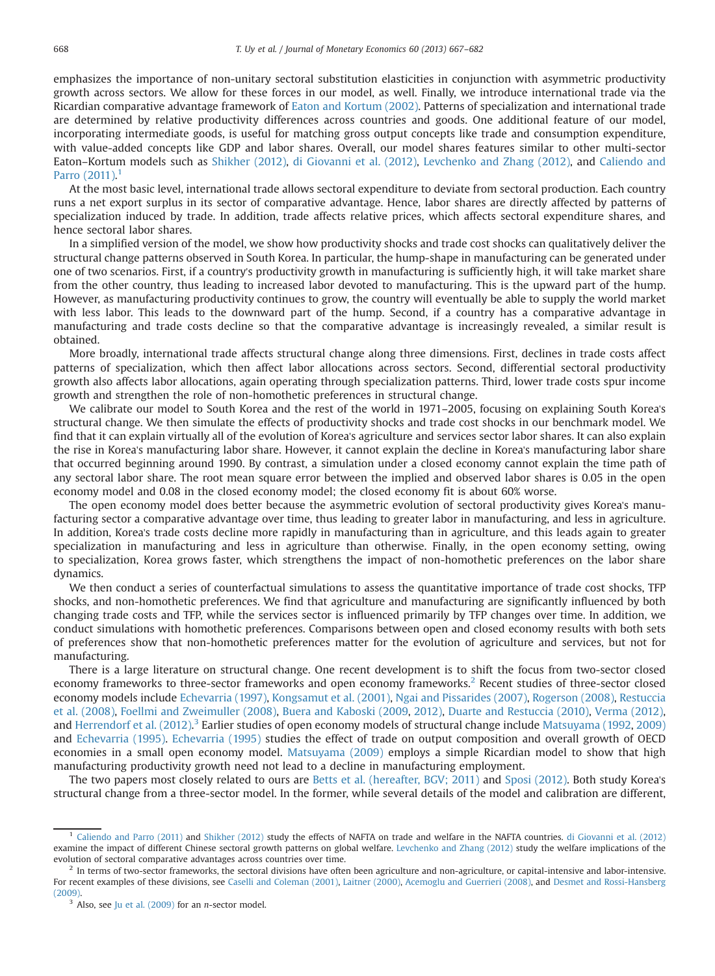emphasizes the importance of non-unitary sectoral substitution elasticities in conjunction with asymmetric productivity growth across sectors. We allow for these forces in our model, as well. Finally, we introduce international trade via the Ricardian comparative advantage framework of [Eaton and Kortum \(2002\).](#page-15-0) Patterns of specialization and international trade are determined by relative productivity differences across countries and goods. One additional feature of our model, incorporating intermediate goods, is useful for matching gross output concepts like trade and consumption expenditure, with value-added concepts like GDP and labor shares. Overall, our model shares features similar to other multi-sector Eaton–Kortum models such as [Shikher \(2012\)](#page-15-0), [di Giovanni et al. \(2012\)](#page-15-0), [Levchenko and Zhang \(2012\)](#page-15-0), and [Caliendo and](#page-15-0) [Parro \(2011\).](#page-15-0)<sup>1</sup>

At the most basic level, international trade allows sectoral expenditure to deviate from sectoral production. Each country runs a net export surplus in its sector of comparative advantage. Hence, labor shares are directly affected by patterns of specialization induced by trade. In addition, trade affects relative prices, which affects sectoral expenditure shares, and hence sectoral labor shares.

In a simplified version of the model, we show how productivity shocks and trade cost shocks can qualitatively deliver the structural change patterns observed in South Korea. In particular, the hump-shape in manufacturing can be generated under one of two scenarios. First, if a country's productivity growth in manufacturing is sufficiently high, it will take market share from the other country, thus leading to increased labor devoted to manufacturing. This is the upward part of the hump. However, as manufacturing productivity continues to grow, the country will eventually be able to supply the world market with less labor. This leads to the downward part of the hump. Second, if a country has a comparative advantage in manufacturing and trade costs decline so that the comparative advantage is increasingly revealed, a similar result is obtained.

More broadly, international trade affects structural change along three dimensions. First, declines in trade costs affect patterns of specialization, which then affect labor allocations across sectors. Second, differential sectoral productivity growth also affects labor allocations, again operating through specialization patterns. Third, lower trade costs spur income growth and strengthen the role of non-homothetic preferences in structural change.

We calibrate our model to South Korea and the rest of the world in 1971–2005, focusing on explaining South Korea's structural change. We then simulate the effects of productivity shocks and trade cost shocks in our benchmark model. We find that it can explain virtually all of the evolution of Korea's agriculture and services sector labor shares. It can also explain the rise in Korea's manufacturing labor share. However, it cannot explain the decline in Korea's manufacturing labor share that occurred beginning around 1990. By contrast, a simulation under a closed economy cannot explain the time path of any sectoral labor share. The root mean square error between the implied and observed labor shares is 0.05 in the open economy model and 0.08 in the closed economy model; the closed economy fit is about 60% worse.

The open economy model does better because the asymmetric evolution of sectoral productivity gives Korea's manufacturing sector a comparative advantage over time, thus leading to greater labor in manufacturing, and less in agriculture. In addition, Korea's trade costs decline more rapidly in manufacturing than in agriculture, and this leads again to greater specialization in manufacturing and less in agriculture than otherwise. Finally, in the open economy setting, owing to specialization, Korea grows faster, which strengthens the impact of non-homothetic preferences on the labor share dynamics.

We then conduct a series of counterfactual simulations to assess the quantitative importance of trade cost shocks, TFP shocks, and non-homothetic preferences. We find that agriculture and manufacturing are significantly influenced by both changing trade costs and TFP, while the services sector is influenced primarily by TFP changes over time. In addition, we conduct simulations with homothetic preferences. Comparisons between open and closed economy results with both sets of preferences show that non-homothetic preferences matter for the evolution of agriculture and services, but not for manufacturing.

There is a large literature on structural change. One recent development is to shift the focus from two-sector closed economy frameworks to three-sector frameworks and open economy frameworks.<sup>2</sup> Recent studies of three-sector closed economy models include [Echevarria \(1997\)](#page-15-0), [Kongsamut et al. \(2001\)](#page-15-0), [Ngai and Pissarides \(2007\)](#page-15-0), [Rogerson \(2008\),](#page-15-0) [Restuccia](#page-15-0) [et al. \(2008\)](#page-15-0), [Foellmi and Zweimuller \(2008\),](#page-15-0) [Buera and Kaboski \(2009,](#page-14-0) [2012\),](#page-14-0) [Duarte and Restuccia \(2010\),](#page-15-0) [Verma \(2012\)](#page-15-0), and [Herrendorf et al. \(2012\).](#page-15-0)<sup>3</sup> Earlier studies of open economy models of structural change include [Matsuyama \(1992,](#page-15-0) [2009\)](#page-15-0) and [Echevarria \(1995\).](#page-15-0) [Echevarria \(1995\)](#page-15-0) studies the effect of trade on output composition and overall growth of OECD economies in a small open economy model. [Matsuyama \(2009\)](#page-15-0) employs a simple Ricardian model to show that high manufacturing productivity growth need not lead to a decline in manufacturing employment.

The two papers most closely related to ours are [Betts et al. \(hereafter, BGV; 2011\)](#page-14-0) and [Sposi \(2012\).](#page-15-0) Both study Korea's structural change from a three-sector model. In the former, while several details of the model and calibration are different,

<sup>&</sup>lt;sup>1</sup> [Caliendo and Parro \(2011\)](#page-15-0) and [Shikher \(2012\)](#page-15-0) study the effects of NAFTA on trade and welfare in the NAFTA countries. [di Giovanni et al. \(2012\)](#page-15-0) examine the impact of different Chinese sectoral growth patterns on global welfare. [Levchenko and Zhang \(2012\)](#page-15-0) study the welfare implications of the evolution of sectoral comparative advantages across countries over time.

 $<sup>2</sup>$  In terms of two-sector frameworks, the sectoral divisions have often been agriculture and non-agriculture, or capital-intensive and labor-intensive.</sup> For recent examples of these divisions, see [Caselli and Coleman \(2001\),](#page-15-0) [Laitner \(2000\)](#page-15-0), [Acemoglu and Guerrieri \(2008\)](#page-14-0), and [Desmet and Rossi-Hansberg](#page-15-0) [\(2009\)](#page-15-0).

 $3$  Also, see [Ju et al. \(2009\)](#page-15-0) for an *n*-sector model.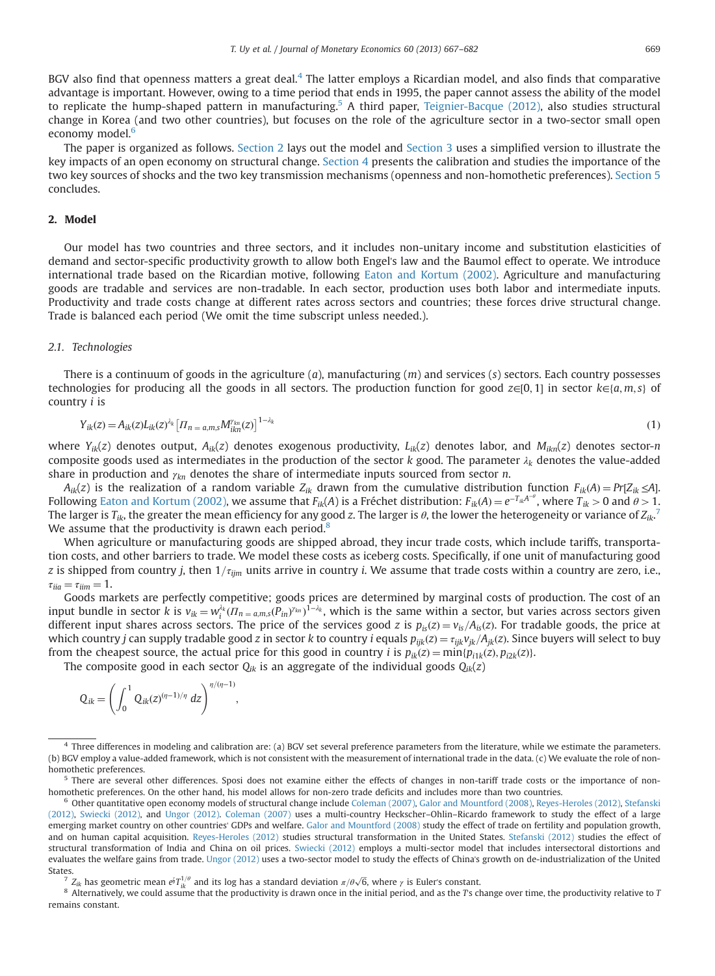<span id="page-2-0"></span>BGV also find that openness matters a great deal.<sup>4</sup> The latter employs a Ricardian model, and also finds that comparative advantage is important. However, owing to a time period that ends in 1995, the paper cannot assess the ability of the model to replicate the hump-shaped pattern in manufacturing.<sup>5</sup> A third paper, [Teignier-Bacque \(2012\),](#page-15-0) also studies structural change in Korea (and two other countries), but focuses on the role of the agriculture sector in a two-sector small open economy model.<sup>6</sup>

The paper is organized as follows. Section 2 lays out the model and [Section 3](#page-4-0) uses a simplified version to illustrate the key impacts of an open economy on structural change. [Section 4](#page-6-0) presents the calibration and studies the importance of the two key sources of shocks and the two key transmission mechanisms (openness and non-homothetic preferences). [Section 5](#page-13-0) concludes.

#### 2. Model

Our model has two countries and three sectors, and it includes non-unitary income and substitution elasticities of demand and sector-specific productivity growth to allow both Engel's law and the Baumol effect to operate. We introduce international trade based on the Ricardian motive, following [Eaton and Kortum \(2002\)](#page-15-0). Agriculture and manufacturing goods are tradable and services are non-tradable. In each sector, production uses both labor and intermediate inputs. Productivity and trade costs change at different rates across sectors and countries; these forces drive structural change. Trade is balanced each period (We omit the time subscript unless needed.).

#### 2.1. Technologies

There is a continuum of goods in the agriculture  $(a)$ , manufacturing  $(m)$  and services  $(s)$  sectors. Each country possesses technologies for producing all the goods in all sectors. The production function for good z∈[0,1] in sector k∈{a,m,s} of<br>country i is country i is

$$
Y_{ik}(z) = A_{ik}(z)L_{ik}(z)^{\lambda_k} \left[ \Pi_{n \, = \, a, m, s} M_{ikn}^{\gamma_{kn}}(z) \right]^{1 - \lambda_k}
$$
\n(1)

where  $Y_{ik}(z)$  denotes output,  $A_{ik}(z)$  denotes exogenous productivity,  $L_{ik}(z)$  denotes labor, and  $M_{ikn}(z)$  denotes sector-n composite goods used as intermediates in the production of the sector k good. The parameter  $\lambda_k$  denotes the value-added share in production and  $\gamma_{kn}$  denotes the share of intermediate inputs sourced from sector *n*.

 $A_{ik}(z)$  is the realization of a random variable  $Z_{ik}$  drawn from the cumulative distribution function  $F_{ik}(A) = Pr[Z_{ik} \leq A]$ .<br>Iowing Eaton and Kortum (2002), we assume that  $F_{ki}(A)$  is a Fréchet distribution:  $F_{ki}(A) = e^{-T_{ik$ Following [Eaton and Kortum \(2002\)](#page-15-0), we assume that  $F_{ik}(A)$  is a Fréchet distribution:  $F_{ik}(A) = e^{-T_{ik}A^{-\theta}}$ , where  $T_{ik} > 0$  and  $\theta > 1$ .<br>The larger is  $T_{ik}$  the greater the mean efficiency for any good z. The larger is The larger is  $T_{ik}$ , the greater the mean efficiency for any good z. The larger is  $\theta$ , the lower the heterogeneity or variance of  $Z_{ik}$ . We assume that the productivity is drawn each period.<sup>8</sup>

When agriculture or manufacturing goods are shipped abroad, they incur trade costs, which include tariffs, transportation costs, and other barriers to trade. We model these costs as iceberg costs. Specifically, if one unit of manufacturing good z is shipped from country j, then  $1/\tau_{lim}$  units arrive in country i. We assume that trade costs within a country are zero, i.e.,  $\tau_{iia} = \tau_{iim} = 1.$ 

Goods markets are perfectly competitive; goods prices are determined by marginal costs of production. The cost of an input bundle in sector k is  $v_{ik} = w_i^{\lambda_k} (I_n = a_m s (P_{in})^{\gamma_{kn}})^{1-\lambda_k}$ , which is the same within a sector, but varies across sectors given different input shares across sectors of the services good z is  $p_i(z) = y_i / A_i(z)$ . For t different input shares across sectors. The price of the services good z is  $p_{is}(z) = v_{is}/A_{is}(z)$ . For tradable goods, the price at which country is can supply tradable good z in sector k to country i equals  $p_{is}(z) = v_{is}/A_{is}($ which country *j* can supply tradable good *z* in sector *k* to country *i* equals  $p_{ijk}(z) = \tau_{ijk}v_{ik}/A_{ik}(z)$ . Since buyers will select to buy from the cheapest source, the actual price for this good in country *i* is  $p_{ik}(z) = \min\{p_{i1k}(z), p_{i2k}(z)\}$ .

The composite good in each sector  $Q_{ik}$  is an aggregate of the individual goods  $Q_{ik}(z)$ 

;

$$
Q_{ik} = \left(\int_0^1 Q_{ik}(z)^{(\eta-1)/\eta} dz\right)^{\eta/(\eta-1)}
$$

 $^4$  Three differences in modeling and calibration are: (a) BGV set several preference parameters from the literature, while we estimate the parameters. (b) BGV employ a value-added framework, which is not consistent with the measurement of international trade in the data. (c) We evaluate the role of nonhomothetic preferences.

<sup>&</sup>lt;sup>5</sup> There are several other differences. Sposi does not examine either the effects of changes in non-tariff trade costs or the importance of nonhomothetic preferences. On the other hand, his model allows for non-zero trade deficits and includes more than two countries.

<sup>6</sup> Other quantitative open economy models of structural change include [Coleman \(2007\)](#page-15-0), [Galor and Mountford \(2008\)](#page-15-0), [Reyes-Heroles \(2012\),](#page-15-0) [Stefanski](#page-15-0) [\(2012\)](#page-15-0), [Swiecki \(2012\),](#page-15-0) and [Ungor \(2012\)](#page-15-0). [Coleman \(2007\)](#page-15-0) uses a multi-country Heckscher–Ohlin–Ricardo framework to study the effect of a large emerging market country on other countries' GDPs and welfare. [Galor and Mountford \(2008\)](#page-15-0) study the effect of trade on fertility and population growth, and on human capital acquisition. [Reyes-Heroles \(2012\)](#page-15-0) studies structural transformation in the United States. [Stefanski \(2012\)](#page-15-0) studies the effect of structural transformation of India and China on oil prices. [Swiecki \(2012\)](#page-15-0) employs a multi-sector model that includes intersectoral distortions and evaluates the welfare gains from trade. [Ungor \(2012\)](#page-15-0) uses a two-sector model to study the effects of China's growth on de-industrialization of the United States.

 $\frac{7}{2}$  Z<sub>ik</sub> has geometric mean  $e^{iz}T^{1/\theta}_{ik}$  and its log has a standard deviation  $\pi/\theta\sqrt{6}$ , where γ is Euler's constant.

<sup>&</sup>lt;sup>8</sup> Alternatively, we could assume that the productivity is drawn once in the initial period, and as the Ts change over time, the productivity relative to T remains constant.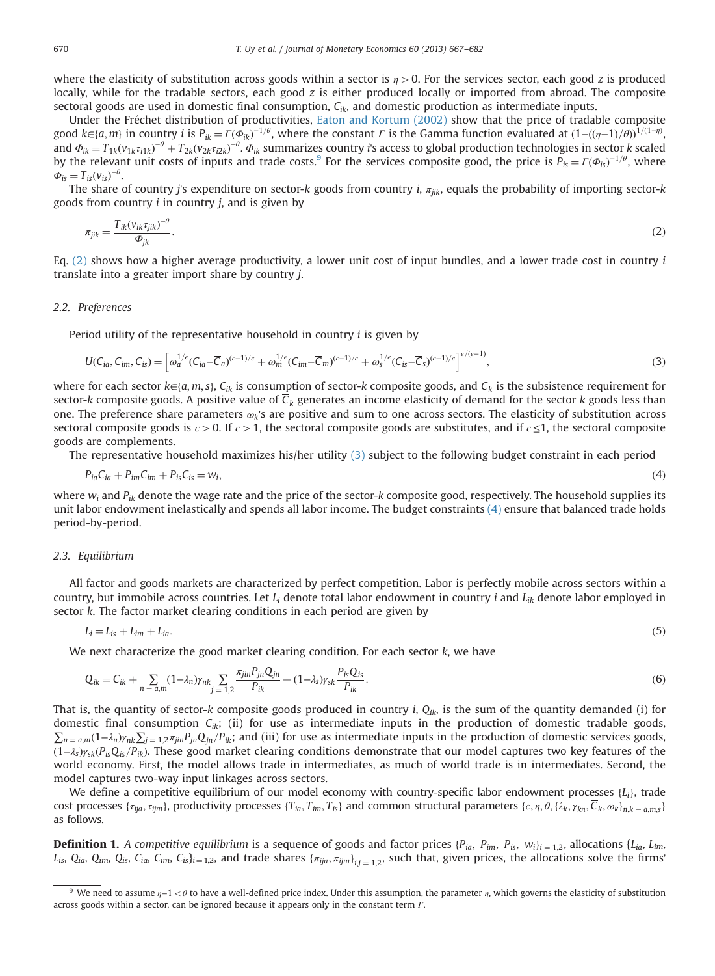<span id="page-3-0"></span>where the elasticity of substitution across goods within a sector is  $n > 0$ . For the services sector, each good z is produced locally, while for the tradable sectors, each good  $z$  is either produced locally or imported from abroad. The composite sectoral goods are used in domestic final consumption,  $C_{ik}$ , and domestic production as intermediate inputs.

Under the Fréchet distribution of productivities, [Eaton and Kortum \(2002\)](#page-15-0) show that the price of tradable composite good k∈{a, m} in country *i* is  $P_{ik} = \Gamma(\Phi_{ik})^{-1/\theta}$ , where the constant *Γ* is the Gamma function evaluated at  $(1-(\eta-1)/\theta)^{1/(1-\eta)}$ . and  $\Phi_{ik} = T_{1k}(v_{1k}\tau_{i1k})^{-\theta} + T_{2k}(v_{2k}\tau_{i2k})^{-\theta}$ .  $\Phi_{ik}$  summarizes country i's access to global production technologies in sector k scaled<br>by the relevant unit costs of inputs and trade costs <sup>9</sup> For the services c by the relevant unit costs of inputs and trade costs.<sup>9</sup> For the services composite good, the price is  $P_{is} = \Gamma(\Phi_{is})^{-1/\theta}$ , where  $\Phi_{is} = \Gamma(\Phi_{is})^{-1/\theta}$  $\Phi_{is} = T_{is} (v_{is})^{-\theta}$ .<br>The share

The share of country j's expenditure on sector-k goods from country i,  $\pi_{iik}$ , equals the probability of importing sector-k goods from country  $i$  in country  $j$ , and is given by

$$
\pi_{jik} = \frac{T_{ik}(v_{ik}\tau_{jik})^{-\theta}}{\Phi_{jk}}.
$$
\n(2)

Eq.  $(2)$  shows how a higher average productivity, a lower unit cost of input bundles, and a lower trade cost in country i translate into a greater import share by country j.

#### 2.2. Preferences

Period utility of the representative household in country i is given by

$$
U(C_{ia}, C_{im}, C_{is}) = \left[\omega_a^{1/\epsilon} (C_{ia} - \overline{C}_a)^{(\epsilon - 1)/\epsilon} + \omega_m^{1/\epsilon} (C_{im} - \overline{C}_m)^{(\epsilon - 1)/\epsilon} + \omega_s^{1/\epsilon} (C_{is} - \overline{C}_s)^{(\epsilon - 1)/\epsilon}\right]^{e/(\epsilon - 1)},\tag{3}
$$

where for each sector  $k \in \{a, m, s\}$ ,  $C_{ik}$  is consumption of sector-k composite goods, and  $\overline{C}_k$  is the subsistence requirement for sector-k composite goods. A positive value of  $\overline{C}_k$  generates an income elasticity of demand for the sector k goods less than one. The preference share parameters  $\omega_k$ 's are positive and sum to one across sectors. The elasticity of substitution across sectoral composite goods is  $\epsilon > 0$ . If  $\epsilon > 1$ , the sectoral composite goods are substitutes, and if  $\epsilon \le 1$ , the sectoral composite goods are complements.

The representative household maximizes his/her utility (3) subject to the following budget constraint in each period

$$
P_{ia}C_{ia} + P_{im}C_{im} + P_{is}C_{is} = w_i,
$$
\n<sup>(4)</sup>

where  $w_i$  and  $P_{ik}$  denote the wage rate and the price of the sector-k composite good, respectively. The household supplies its unit labor endowment inelastically and spends all labor income. The budget constraints (4) ensure that balanced trade holds period-by-period.

#### 2.3. Equilibrium

All factor and goods markets are characterized by perfect competition. Labor is perfectly mobile across sectors within a country, but immobile across countries. Let  $L_i$  denote total labor endowment in country *i* and  $L_{ik}$  denote labor employed in sector k. The factor market clearing conditions in each period are given by

$$
L_i = L_{is} + L_{im} + L_{ia}.\tag{5}
$$

We next characterize the good market clearing condition. For each sector  $k$ , we have

$$
Q_{ik} = C_{ik} + \sum_{n = a,m} (1 - \lambda_n) \gamma_{nk} \sum_{j = 1,2} \frac{\pi_{jin} P_{jn} Q_{jn}}{P_{ik}} + (1 - \lambda_s) \gamma_{sk} \frac{P_{is} Q_{is}}{P_{ik}}.
$$
(6)

That is, the quantity of sector-k composite goods produced in country  $i$ ,  $Q_{ik}$ , is the sum of the quantity demanded (i) for domestic final consumption  $C_{ik}$ ; (ii) for use as intermediate inputs in the production of domestic tradable goods,  $\sum_{n=\alpha,m}(1-\lambda_n)\gamma_{nk}\sum_{j=1,2}\pi_{jin}P_{jn}Q_{jn}/P_{ik}$ ; and (iii) for use as intermediate inputs in the production of domestic services goods,  $(1-\lambda_s)\gamma_{st}(P_{is}Q_{is}/P_{ik})$ . These good market clearing conditions demonstrate that our model captures two key features of the world economy. First, the model allows trade in intermediates, as much of world trade is in intermediates. Second, the model captures two-way input linkages across sectors.

We define a competitive equilibrium of our model economy with country-specific labor endowment processes  $\{L_i\}$ , trade cost processes { $\tau_{\text{tia}}, \tau_{\text{tim}}$ }, productivity processes { $T_{ia}, T_{im}, T_{is}$ } and common structural parameters { $\epsilon, \eta, \theta, \{\lambda_k, \gamma_{kn}, \overline{C}_k, \omega_k\}_{n,k = a,m,s}$ } as follows.

**Definition 1.** A competitive equilibrium is a sequence of goods and factor prices { $P_{ia}$ ,  $P_{im}$ ,  $P_{is}$ ,  $w_i$ }<sub>i = 1,2</sub>, allocations { $L_{ia}$ ,  $L_{im}$ ,  $L_{is}$ ,  $Q_{ia}$ ,  $Q_{im}$ ,  $Q_{is}$ ,  $C_{ia}$ ,  $C_{im}$ ,  $C_{is}$ }<sub>i=1,2</sub>, and trade shares  $\{\pi_{ija}, \pi_{ijm}\}_{i,j=1,2}$ , such that, given prices, the allocations solve the firms

<sup>&</sup>lt;sup>9</sup> We need to assume  $n-1 < \theta$  to have a well-defined price index. Under this assumption, the parameter  $n$ , which governs the elasticity of substitution across goods within a sector, can be ignored because it appears only in the constant term  $\Gamma$ .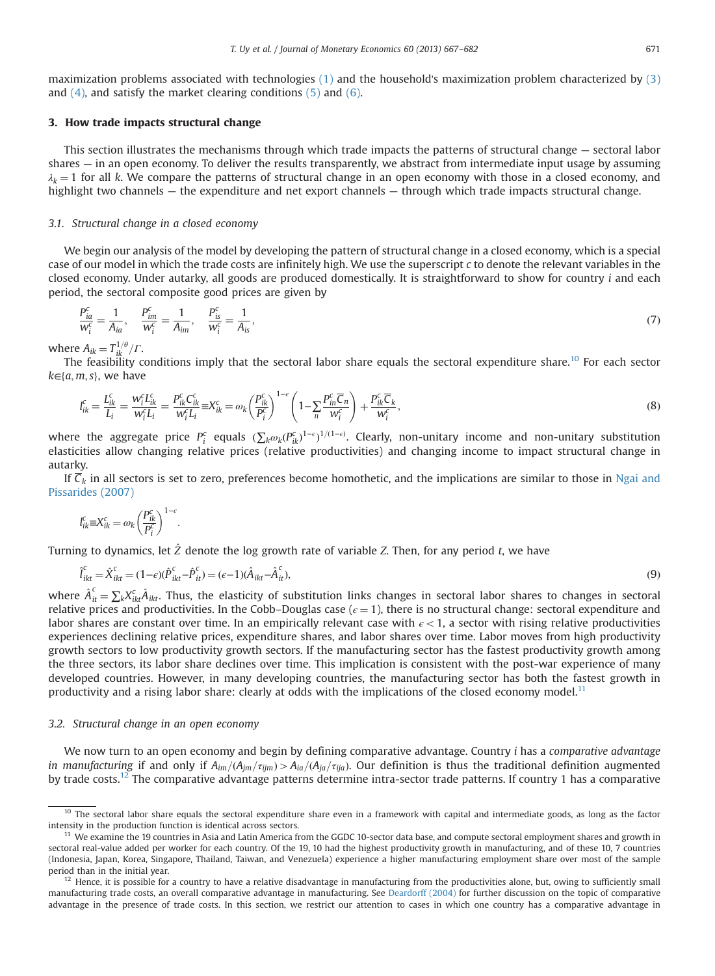<span id="page-4-0"></span>maximization problems associated with technologies [\(1\)](#page-2-0) and the household's maximization problem characterized by [\(3\)](#page-3-0) and  $(4)$ , and satisfy the market clearing conditions  $(5)$  and  $(6)$ .

#### 3. How trade impacts structural change

This section illustrates the mechanisms through which trade impacts the patterns of structural change — sectoral labor shares — in an open economy. To deliver the results transparently, we abstract from intermediate input usage by assuming  $\lambda_k = 1$  for all k. We compare the patterns of structural change in an open economy with those in a closed economy, and highlight two channels — the expenditure and net export channels — through which trade impacts structural change.

#### 3.1. Structural change in a closed economy

We begin our analysis of the model by developing the pattern of structural change in a closed economy, which is a special case of our model in which the trade costs are infinitely high. We use the superscript c to denote the relevant variables in the closed economy. Under autarky, all goods are produced domestically. It is straightforward to show for country i and each period, the sectoral composite good prices are given by

$$
\frac{P_{ia}^c}{W_i^c} = \frac{1}{A_{ia}}, \quad \frac{P_{im}^c}{W_i^c} = \frac{1}{A_{im}}, \quad \frac{P_{is}^c}{W_i^c} = \frac{1}{A_{is}},\tag{7}
$$

where  $A_{ik} = T_{ik}^{1/\theta}/\Gamma$ .<br>The feasibility of

The feasibility conditions imply that the sectoral labor share equals the sectoral expenditure share.<sup>10</sup> For each sector  $k \in \{a, m, s\}$ , we have

$$
l_{ik}^c = \frac{L_{ik}^c}{L_i} = \frac{w_i^c L_{ik}^c}{w_i^c L_i} = \frac{P_{ik}^c C_{ik}^c}{w_i^c L_i} \equiv X_{ik}^c = \omega_k \left(\frac{P_{ik}^c}{P_i^c}\right)^{1-c} \left(1 - \sum_n \frac{P_{in}^c \overline{C}_n}{w_i^c}\right) + \frac{P_{ik}^c \overline{C}_k}{w_i^c},\tag{8}
$$

where the aggregate price  $P_i^c$  equals  $(\sum_k \omega_k (P_{ik}^c)^{1-(1-\epsilon)})$ . Clearly, non-unitary income and non-unitary substitution electricities allow change in  $\mathcal{L}$  $\sum_{k} \omega_{k} \omega_{k}$  is the analytic model in the and non-unitary substitution elasticities allow changing relative prices (relative productivities) and changing income to impact structural change in autarky.

If  $\overline{C}_k$  in all sectors is set to zero, preferences become homothetic, and the implications are similar to those in [Ngai and](#page-15-0) [Pissarides \(2007\)](#page-15-0)

$$
l_{ik}^c \equiv X_{ik}^c = \omega_k \left(\frac{P_{ik}^c}{P_i^c}\right)^{1-c}.
$$

Turning to dynamics, let  $\hat{Z}$  denote the log growth rate of variable Z. Then, for any period t, we have

$$
\hat{l}_{ikt}^c = \hat{X}_{ikt}^c = (1 - \epsilon)(\hat{P}_{ikt}^c - \hat{P}_{it}^c) = (\epsilon - 1)(\hat{A}_{ikt} - \hat{A}_{it}^c),
$$
\n(9)

where  $\hat{A}_{it}^c = \sum_k X_{ikt}^c \hat{A}_{ikt}$ . Thus, the elasticity of substitution links changes in sectoral labor shares to changes in sectoral  $\hat{A}_{it}^c = \sum_k X_{ikt}^c \hat{A}_{ikt}$ . Thus, the elasticity of substitution links changes in relative prices and productivities. In the Cobb–Douglas case ( $\epsilon = 1$ ), there is no structural change: sectoral expenditure and labor shares are constant over time. In an empirically relevant case with  $\epsilon$  < 1, a sector with rising relative productivities experiences declining relative prices, expenditure shares, and labor shares over time. Labor moves from high productivity growth sectors to low productivity growth sectors. If the manufacturing sector has the fastest productivity growth among the three sectors, its labor share declines over time. This implication is consistent with the post-war experience of many developed countries. However, in many developing countries, the manufacturing sector has both the fastest growth in productivity and a rising labor share: clearly at odds with the implications of the closed economy model.<sup>11</sup>

#### 3.2. Structural change in an open economy

We now turn to an open economy and begin by defining comparative advantage. Country *i* has a comparative advantage in manufacturing if and only if  $A_{im}/(A_{im}/\tau_{ijm}) > A_{ia}/(A_{ia}/\tau_{ija})$ . Our definition is thus the traditional definition augmented by trade costs.<sup>12</sup> The comparative advantage patterns determine intra-sector trade patterns. If country 1 has a comparative

<sup>10</sup> The sectoral labor share equals the sectoral expenditure share even in a framework with capital and intermediate goods, as long as the factor intensity in the production function is identical across sectors.

<sup>&</sup>lt;sup>11</sup> We examine the 19 countries in Asia and Latin America from the GGDC 10-sector data base, and compute sectoral employment shares and growth in sectoral real-value added per worker for each country. Of the 19, 10 had the highest productivity growth in manufacturing, and of these 10, 7 countries (Indonesia, Japan, Korea, Singapore, Thailand, Taiwan, and Venezuela) experience a higher manufacturing employment share over most of the sample period than in the initial year.

<sup>&</sup>lt;sup>12</sup> Hence, it is possible for a country to have a relative disadvantage in manufacturing from the productivities alone, but, owing to sufficiently small manufacturing trade costs, an overall comparative advantage in manufacturing. See [Deardorff \(2004\)](#page-15-0) for further discussion on the topic of comparative advantage in the presence of trade costs. In this section, we restrict our attention to cases in which one country has a comparative advantage in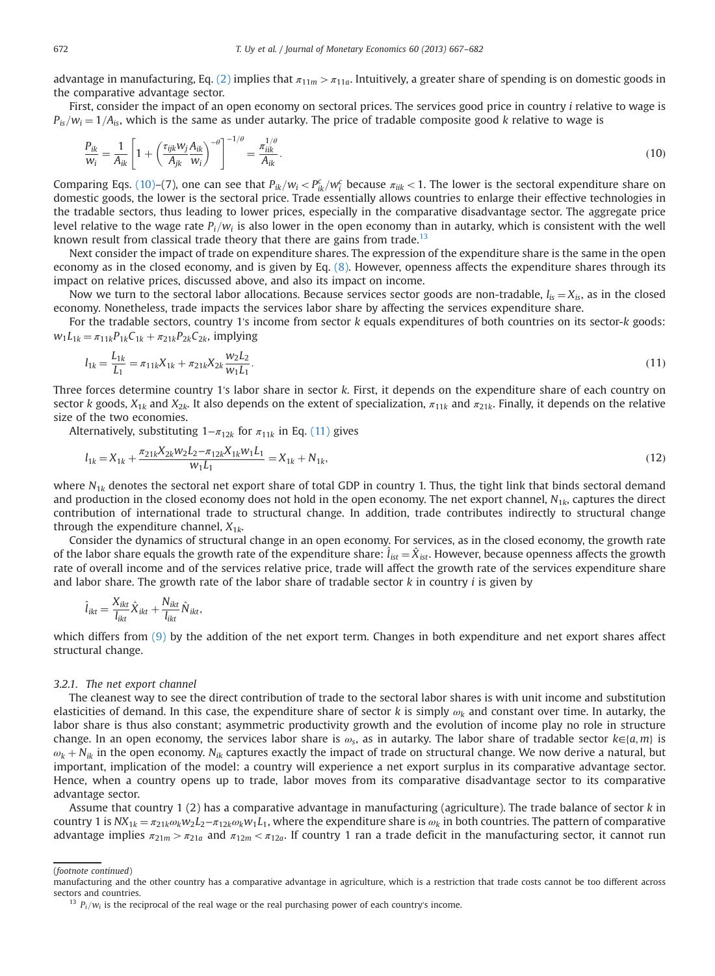<span id="page-5-0"></span>advantage in manufacturing, Eq. [\(2\)](#page-3-0) implies that  $\pi_{11m} > \pi_{11a}$ . Intuitively, a greater share of spending is on domestic goods in the comparative advantage sector.

First, consider the impact of an open economy on sectoral prices. The services good price in country *i* relative to wage is  $P_{is}/w_i = 1/A_{is}$ , which is the same as under autarky. The price of tradable composite good k relative to wage is

$$
\frac{P_{ik}}{W_i} = \frac{1}{A_{ik}} \left[ 1 + \left( \frac{\tau_{ijk} W_j A_{ik}}{A_{jk}} \frac{A_{ik}}{W_i} \right)^{-\theta} \right]^{-1/\theta} = \frac{\pi_{ik}^{1/\theta}}{A_{ik}}.
$$
\n(10)

Comparing Eqs. (10)–(7), one can see that  $P_{ik}/w_i < P_{ik}^c/w_i^c$  because  $\pi_{iik} < 1$ . The lower is the sectoral expenditure share on domestic goods, the lower is the sectoral price. Trade essentially allows countries to enlarge their effective technologies in the tradable sectors, thus leading to lower prices, especially in the comparative disadvantage sector. The aggregate price level relative to the wage rate  $P_i/w_i$  is also lower in the open economy than in autarky, which is consistent with the well known result from classical trade theory that there are gains from trade.<sup>13</sup>

Next consider the impact of trade on expenditure shares. The expression of the expenditure share is the same in the open economy as in the closed economy, and is given by Eq. [\(8\)](#page-4-0). However, openness affects the expenditure shares through its impact on relative prices, discussed above, and also its impact on income.

Now we turn to the sectoral labor allocations. Because services sector goods are non-tradable,  $l_{is} = X_{is}$ , as in the closed economy. Nonetheless, trade impacts the services labor share by affecting the services expenditure share.

For the tradable sectors, country 1's income from sector k equals expenditures of both countries on its sector-k goods:  $w_1L_{1k} = \pi_{11k}P_{1k}C_{1k} + \pi_{21k}P_{2k}C_{2k}$ , implying

$$
l_{1k} = \frac{L_{1k}}{L_1} = \pi_{11k} X_{1k} + \pi_{21k} X_{2k} \frac{w_2 L_2}{w_1 L_1}.
$$
\n(11)

Three forces determine country 1's labor share in sector k. First, it depends on the expenditure share of each country on sector k goods,  $X_{1k}$  and  $X_{2k}$ . It also depends on the extent of specialization,  $\pi_{11k}$  and  $\pi_{21k}$ . Finally, it depends on the relative size of the two economies.

Alternatively, substituting  $1-\pi_{12k}$  for  $\pi_{11k}$  in Eq. (11) gives

$$
l_{1k} = X_{1k} + \frac{\pi_{21k}X_{2k}w_2L_2 - \pi_{12k}X_{1k}w_1L_1}{w_1L_1} = X_{1k} + N_{1k},
$$
\n(12)

where  $N_{1k}$  denotes the sectoral net export share of total GDP in country 1. Thus, the tight link that binds sectoral demand and production in the closed economy does not hold in the open economy. The net export channel,  $N_{1k}$ , captures the direct contribution of international trade to structural change. In addition, trade contributes indirectly to structural change through the expenditure channel,  $X_{1k}$ .

Consider the dynamics of structural change in an open economy. For services, as in the closed economy, the growth rate of the labor share equals the growth rate of the expenditure share:  $\hat{l}_{\text{ist}} = \hat{X}_{\text{ist}}$ . However, because openness affects the growth<br>rate of overall income and of the services relative price, trade will affect the gro rate of overall income and of the services relative price, trade will affect the growth rate of the services expenditure share and labor share. The growth rate of the labor share of tradable sector  $k$  in country  $i$  is given by

$$
\hat{l}_{ikt} = \frac{X_{ikt}}{l_{ikt}} \hat{X}_{ikt} + \frac{N_{ikt}}{l_{ikt}} \hat{N}_{ikt},
$$

which differs from [\(9\)](#page-4-0) by the addition of the net export term. Changes in both expenditure and net export shares affect structural change.

#### 3.2.1. The net export channel

The cleanest way to see the direct contribution of trade to the sectoral labor shares is with unit income and substitution elasticities of demand. In this case, the expenditure share of sector k is simply  $\omega_k$  and constant over time. In autarky, the labor share is thus also constant; asymmetric productivity growth and the evolution of income play no role in structure change. In an open economy, the services labor share is  $\omega_s$ , as in autarky. The labor share of tradable sector  $k \in \{a, m\}$  is  $\omega_k + N_{ik}$  in the open economy. N<sub>ik</sub> captures exactly the impact of trade on structural change. We now derive a natural, but important, implication of the model: a country will experience a net export surplus in its comparative advantage sector. Hence, when a country opens up to trade, labor moves from its comparative disadvantage sector to its comparative advantage sector.

Assume that country  $1(2)$  has a comparative advantage in manufacturing (agriculture). The trade balance of sector  $k$  in country 1 is  $N_{1k} = \pi_{21k}\omega_k w_2 L_2 - \pi_{12k}\omega_k w_1 L_1$ , where the expenditure share is  $\omega_k$  in both countries. The pattern of comparative advantage implies  $\pi_{21m} > \pi_{21a}$  and  $\pi_{12m} < \pi_{12a}$ . If country 1 ran a trade deficit in the manufacturing sector, it cannot run

(footnote continued)

manufacturing and the other country has a comparative advantage in agriculture, which is a restriction that trade costs cannot be too different across sectors and countries.

<sup>&</sup>lt;sup>13</sup>  $P_i/w_i$  is the reciprocal of the real wage or the real purchasing power of each country's income.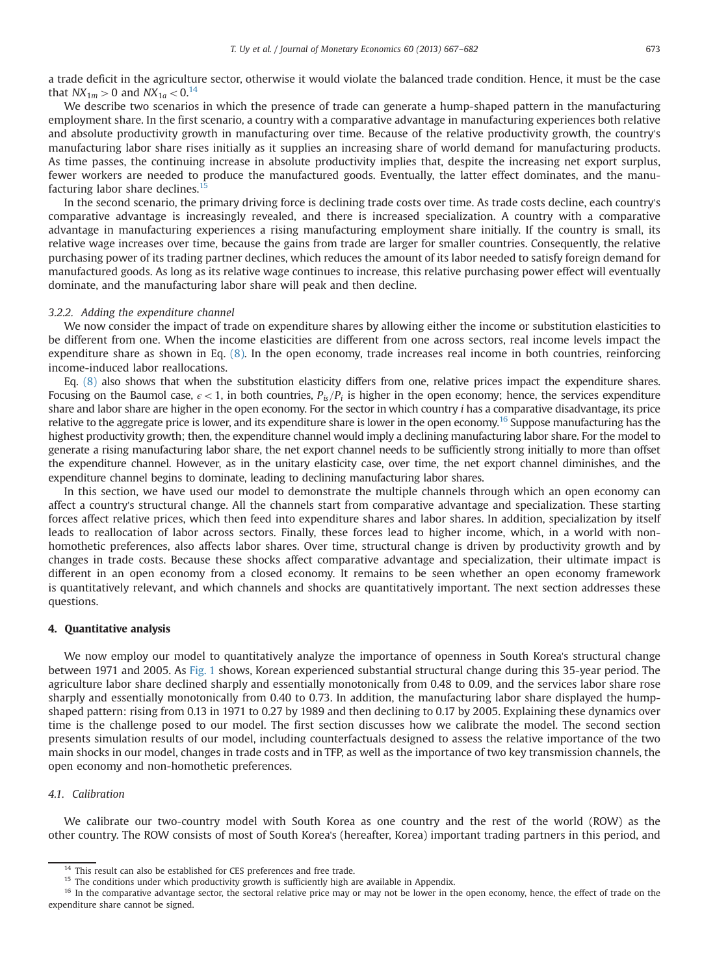<span id="page-6-0"></span>a trade deficit in the agriculture sector, otherwise it would violate the balanced trade condition. Hence, it must be the case that  $NX_{1m} > 0$  and  $NX_{1a} < 0.14$ 

We describe two scenarios in which the presence of trade can generate a hump-shaped pattern in the manufacturing employment share. In the first scenario, a country with a comparative advantage in manufacturing experiences both relative and absolute productivity growth in manufacturing over time. Because of the relative productivity growth, the country's manufacturing labor share rises initially as it supplies an increasing share of world demand for manufacturing products. As time passes, the continuing increase in absolute productivity implies that, despite the increasing net export surplus, fewer workers are needed to produce the manufactured goods. Eventually, the latter effect dominates, and the manufacturing labor share declines.<sup>15</sup>

In the second scenario, the primary driving force is declining trade costs over time. As trade costs decline, each country's comparative advantage is increasingly revealed, and there is increased specialization. A country with a comparative advantage in manufacturing experiences a rising manufacturing employment share initially. If the country is small, its relative wage increases over time, because the gains from trade are larger for smaller countries. Consequently, the relative purchasing power of its trading partner declines, which reduces the amount of its labor needed to satisfy foreign demand for manufactured goods. As long as its relative wage continues to increase, this relative purchasing power effect will eventually dominate, and the manufacturing labor share will peak and then decline.

### 3.2.2. Adding the expenditure channel

We now consider the impact of trade on expenditure shares by allowing either the income or substitution elasticities to be different from one. When the income elasticities are different from one across sectors, real income levels impact the expenditure share as shown in Eq. [\(8\)](#page-4-0). In the open economy, trade increases real income in both countries, reinforcing income-induced labor reallocations.

Eq. [\(8\)](#page-4-0) also shows that when the substitution elasticity differs from one, relative prices impact the expenditure shares. Focusing on the Baumol case,  $\epsilon$  < 1, in both countries,  $P_i / P_i$  is higher in the open economy; hence, the services expenditure share and labor share are higher in the open economy. For the sector in which country i has a comparative disadvantage, its price relative to the aggregate price is lower, and its expenditure share is lower in the open economy.16 Suppose manufacturing has the highest productivity growth; then, the expenditure channel would imply a declining manufacturing labor share. For the model to generate a rising manufacturing labor share, the net export channel needs to be sufficiently strong initially to more than offset the expenditure channel. However, as in the unitary elasticity case, over time, the net export channel diminishes, and the expenditure channel begins to dominate, leading to declining manufacturing labor shares.

In this section, we have used our model to demonstrate the multiple channels through which an open economy can affect a country's structural change. All the channels start from comparative advantage and specialization. These starting forces affect relative prices, which then feed into expenditure shares and labor shares. In addition, specialization by itself leads to reallocation of labor across sectors. Finally, these forces lead to higher income, which, in a world with nonhomothetic preferences, also affects labor shares. Over time, structural change is driven by productivity growth and by changes in trade costs. Because these shocks affect comparative advantage and specialization, their ultimate impact is different in an open economy from a closed economy. It remains to be seen whether an open economy framework is quantitatively relevant, and which channels and shocks are quantitatively important. The next section addresses these questions.

#### 4. Quantitative analysis

We now employ our model to quantitatively analyze the importance of openness in South Korea's structural change between 1971 and 2005. As [Fig. 1](#page-7-0) shows, Korean experienced substantial structural change during this 35-year period. The agriculture labor share declined sharply and essentially monotonically from 0.48 to 0.09, and the services labor share rose sharply and essentially monotonically from 0.40 to 0.73. In addition, the manufacturing labor share displayed the humpshaped pattern: rising from 0.13 in 1971 to 0.27 by 1989 and then declining to 0.17 by 2005. Explaining these dynamics over time is the challenge posed to our model. The first section discusses how we calibrate the model. The second section presents simulation results of our model, including counterfactuals designed to assess the relative importance of the two main shocks in our model, changes in trade costs and in TFP, as well as the importance of two key transmission channels, the open economy and non-homothetic preferences.

#### 4.1. Calibration

We calibrate our two-country model with South Korea as one country and the rest of the world (ROW) as the other country. The ROW consists of most of South Korea's (hereafter, Korea) important trading partners in this period, and

<sup>&</sup>lt;sup>14</sup> This result can also be established for CES preferences and free trade.

<sup>&</sup>lt;sup>15</sup> The conditions under which productivity growth is sufficiently high are available in Appendix.

<sup>&</sup>lt;sup>16</sup> In the comparative advantage sector, the sectoral relative price may or may not be lower in the open economy, hence, the effect of trade on the expenditure share cannot be signed.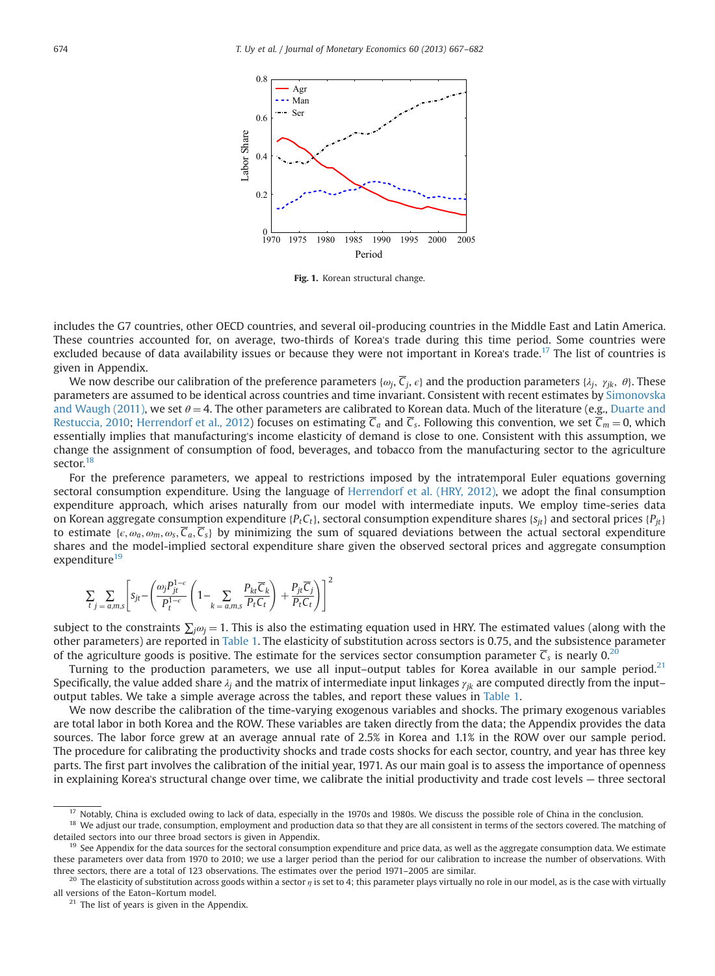<span id="page-7-0"></span>

Fig. 1. Korean structural change.

includes the G7 countries, other OECD countries, and several oil-producing countries in the Middle East and Latin America. These countries accounted for, on average, two-thirds of Korea's trade during this time period. Some countries were excluded because of data availability issues or because they were not important in Korea's trade.<sup>17</sup> The list of countries is given in Appendix.

We now describe our calibration of the preference parameters { $\omega_j$ ,  $\overline{C}_j$ ,  $\epsilon$ } and the production parameters { $\lambda_j$ ,  $\gamma_{ik}$ ,  $\theta$ }. These parameters are assumed to be identical across countries and time invariant. Consistent with recent estimates by [Simonovska](#page-15-0) [and Waugh \(2011\)](#page-15-0), we set  $\theta = 4$ . The other parameters are calibrated to Korean data. Much of the literature (e.g., [Duarte and](#page-15-0)<br>Restuccia 2010: Herrandorf et al. 2012) focuses on estimating  $\overline{C}$  and  $\overline{C}$ . Eollowing [Restuccia, 2010;](#page-15-0) [Herrendorf et al., 2012](#page-15-0)) focuses on estimating  $C_a$  and  $C_s$ . Following this convention, we set  $C_m = 0$ , which<br>essentially implies that manufacturing's income elasticity of demand is close to one. Consist essentially implies that manufacturing's income elasticity of demand is close to one. Consistent with this assumption, we change the assignment of consumption of food, beverages, and tobacco from the manufacturing sector to the agriculture sector.<sup>18</sup>

For the preference parameters, we appeal to restrictions imposed by the intratemporal Euler equations governing sectoral consumption expenditure. Using the language of [Herrendorf et al. \(HRY, 2012\)](#page-15-0), we adopt the final consumption expenditure approach, which arises naturally from our model with intermediate inputs. We employ time-series data on Korean aggregate consumption expenditure { $P_tC_t$ }, sectoral consumption expenditure shares { $s_{it}$ } and sectoral prices { $P_{it}$ } to estimate  $\{\epsilon,\omega_a,\omega_m,\omega_s,\overline{\zeta}_a,\overline{\zeta}_s\}$  by minimizing the sum of squared deviations between the actual sectoral expenditure shares and the model-implied sectoral expenditure share given the observed sectoral prices and aggregate consumption expenditure<sup>19</sup>

$$
\sum_{t} \sum_{j=a,m,s} \left[ s_{jt} - \left( \frac{\omega_j P_{jt}^{1-\epsilon}}{P_t^{1-\epsilon}} \left( 1 - \sum_{k=a,m,s} \frac{P_{kt} \overline{C}_k}{P_t C_t} \right) + \frac{P_{jt} \overline{C}_j}{P_t C_t} \right) \right]^2
$$

subject to the constraints  $\sum_i \omega_i = 1$ . This is also the estimating equation used in HRY. The estimated values (along with the other parameters) are reported in [Table 1](#page-8-0). The elasticity of substitution across sectors is 0.75, and the subsistence parameter of the agriculture goods is positive. The estimate for the services sector consumption parameter  $\overline{C}_s$  is nearly 0.<sup>20</sup>

Turning to the production parameters, we use all input–output tables for Korea available in our sample period.<sup>21</sup> Specifically, the value added share  $\lambda_j$  and the matrix of intermediate input linkages  $\gamma_{ik}$  are computed directly from the input– output tables. We take a simple average across the tables, and report these values in [Table 1.](#page-8-0)

We now describe the calibration of the time-varying exogenous variables and shocks. The primary exogenous variables are total labor in both Korea and the ROW. These variables are taken directly from the data; the Appendix provides the data sources. The labor force grew at an average annual rate of 2.5% in Korea and 1.1% in the ROW over our sample period. The procedure for calibrating the productivity shocks and trade costs shocks for each sector, country, and year has three key parts. The first part involves the calibration of the initial year, 1971. As our main goal is to assess the importance of openness in explaining Korea's structural change over time, we calibrate the initial productivity and trade cost levels — three sectoral

 $17$  Notably, China is excluded owing to lack of data, especially in the 1970s and 1980s. We discuss the possible role of China in the conclusion.

<sup>&</sup>lt;sup>18</sup> We adjust our trade, consumption, employment and production data so that they are all consistent in terms of the sectors covered. The matching of detailed sectors into our three broad sectors is given in Appendix.

<sup>&</sup>lt;sup>19</sup> See Appendix for the data sources for the sectoral consumption expenditure and price data, as well as the aggregate consumption data. We estimate these parameters over data from 1970 to 2010; we use a larger period than the period for our calibration to increase the number of observations. With three sectors, there are a total of 123 observations. The estimates over the period 1971–2005 are similar.

<sup>&</sup>lt;sup>20</sup> The elasticity of substitution across goods within a sector  $\eta$  is set to 4; this parameter plays virtually no role in our model, as is the case with virtually all versions of the Eaton–Kortum model.

 $21$  The list of years is given in the Appendix.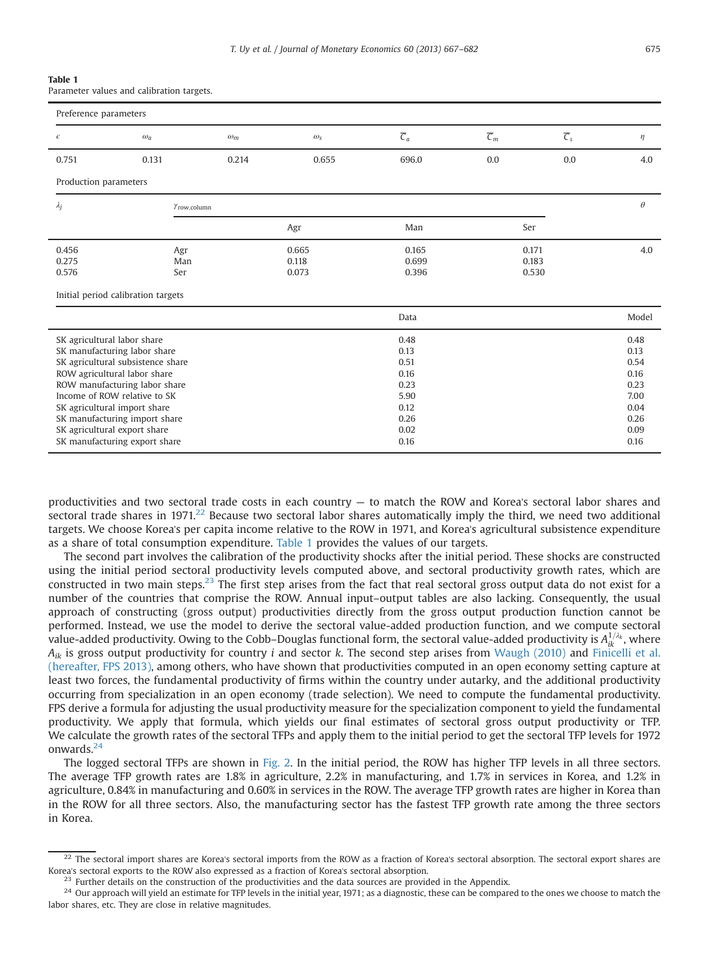#### <span id="page-8-0"></span>Table 1

Parameter values and calibration targets.

| Preference parameters                                                                                                                                                                                                                                                                                                               |                                                         |            |                         |                                                                              |                  |                         |                                                                              |  |
|-------------------------------------------------------------------------------------------------------------------------------------------------------------------------------------------------------------------------------------------------------------------------------------------------------------------------------------|---------------------------------------------------------|------------|-------------------------|------------------------------------------------------------------------------|------------------|-------------------------|------------------------------------------------------------------------------|--|
| $\epsilon$                                                                                                                                                                                                                                                                                                                          | $\omega_a$                                              | $\omega_m$ | $\omega_{\rm S}$        | $\overline{C}_a$                                                             | $\overline{C}_m$ | $\overline{C}_s$        | $\eta$                                                                       |  |
| 0.751                                                                                                                                                                                                                                                                                                                               | 0.131                                                   | 0.214      | 0.655                   | 696.0                                                                        | 0.0              | 0.0                     | 4.0                                                                          |  |
| Production parameters                                                                                                                                                                                                                                                                                                               |                                                         |            |                         |                                                                              |                  |                         |                                                                              |  |
| $\lambda_j$                                                                                                                                                                                                                                                                                                                         | $\gamma$ row,column                                     |            |                         |                                                                              |                  |                         | $\theta$                                                                     |  |
|                                                                                                                                                                                                                                                                                                                                     |                                                         |            | Agr                     | Man                                                                          | Ser              |                         |                                                                              |  |
| 0.456<br>0.275<br>0.576                                                                                                                                                                                                                                                                                                             | Agr<br>Man<br>Ser<br>Initial period calibration targets |            | 0.665<br>0.118<br>0.073 | 0.165<br>0.699<br>0.396                                                      |                  | 0.171<br>0.183<br>0.530 | 4.0                                                                          |  |
|                                                                                                                                                                                                                                                                                                                                     |                                                         |            |                         | Data                                                                         |                  |                         | Model                                                                        |  |
| SK agricultural labor share<br>SK manufacturing labor share<br>SK agricultural subsistence share<br>ROW agricultural labor share<br>ROW manufacturing labor share<br>Income of ROW relative to SK<br>SK agricultural import share<br>SK manufacturing import share<br>SK agricultural export share<br>SK manufacturing export share |                                                         |            |                         | 0.48<br>0.13<br>0.51<br>0.16<br>0.23<br>5.90<br>0.12<br>0.26<br>0.02<br>0.16 |                  |                         | 0.48<br>0.13<br>0.54<br>0.16<br>0.23<br>7.00<br>0.04<br>0.26<br>0.09<br>0.16 |  |

productivities and two sectoral trade costs in each country — to match the ROW and Korea's sectoral labor shares and sectoral trade shares in  $1971$ .<sup>22</sup> Because two sectoral labor shares automatically imply the third, we need two additional targets. We choose Korea's per capita income relative to the ROW in 1971, and Korea's agricultural subsistence expenditure as a share of total consumption expenditure. Table 1 provides the values of our targets.

The second part involves the calibration of the productivity shocks after the initial period. These shocks are constructed using the initial period sectoral productivity levels computed above, and sectoral productivity growth rates, which are constructed in two main steps.<sup>23</sup> The first step arises from the fact that real sectoral gross output data do not exist for a number of the countries that comprise the ROW. Annual input–output tables are also lacking. Consequently, the usual approach of constructing (gross output) productivities directly from the gross output production function cannot be performed. Instead, we use the model to derive the sectoral value-added production function, and we compute sectoral value-added productivity. Owing to the Cobb–Douglas functional form, the sectoral value-added productivity is  $A_{ik}^{1/\lambda_k}$ , where  $A_{ik}$  is gross output productivity for country i and sector k. The second step arises from [Waugh \(2010\)](#page-15-0) and [Finicelli et al.](#page-15-0) [\(hereafter, FPS 2013\)](#page-15-0), among others, who have shown that productivities computed in an open economy setting capture at least two forces, the fundamental productivity of firms within the country under autarky, and the additional productivity occurring from specialization in an open economy (trade selection). We need to compute the fundamental productivity. FPS derive a formula for adjusting the usual productivity measure for the specialization component to yield the fundamental productivity. We apply that formula, which yields our final estimates of sectoral gross output productivity or TFP. We calculate the growth rates of the sectoral TFPs and apply them to the initial period to get the sectoral TFP levels for 1972 onwards.24

The logged sectoral TFPs are shown in [Fig. 2](#page-9-0). In the initial period, the ROW has higher TFP levels in all three sectors. The average TFP growth rates are 1.8% in agriculture, 2.2% in manufacturing, and 1.7% in services in Korea, and 1.2% in agriculture, 0.84% in manufacturing and 0.60% in services in the ROW. The average TFP growth rates are higher in Korea than in the ROW for all three sectors. Also, the manufacturing sector has the fastest TFP growth rate among the three sectors in Korea.

 $23$  Further details on the construction of the productivities and the data sources are provided in the Appendix.

 $22$  The sectoral import shares are Korea's sectoral imports from the ROW as a fraction of Korea's sectoral absorption. The sectoral export shares are Korea's sectoral exports to the ROW also expressed as a fraction of Korea's sectoral absorption.

<sup>&</sup>lt;sup>24</sup> Our approach will yield an estimate for TFP levels in the initial year, 1971; as a diagnostic, these can be compared to the ones we choose to match the labor shares, etc. They are close in relative magnitudes.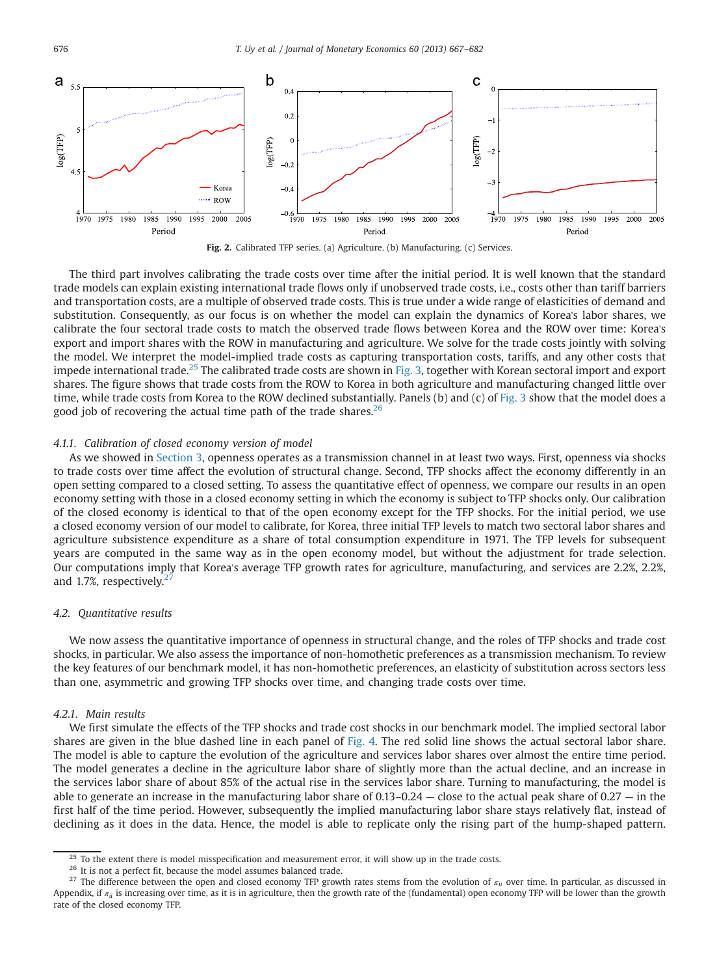<span id="page-9-0"></span>

Fig. 2. Calibrated TFP series. (a) Agriculture. (b) Manufacturing. (c) Services.

The third part involves calibrating the trade costs over time after the initial period. It is well known that the standard trade models can explain existing international trade flows only if unobserved trade costs, i.e., costs other than tariff barriers and transportation costs, are a multiple of observed trade costs. This is true under a wide range of elasticities of demand and substitution. Consequently, as our focus is on whether the model can explain the dynamics of Korea's labor shares, we calibrate the four sectoral trade costs to match the observed trade flows between Korea and the ROW over time: Korea's export and import shares with the ROW in manufacturing and agriculture. We solve for the trade costs jointly with solving the model. We interpret the model-implied trade costs as capturing transportation costs, tariffs, and any other costs that impede international trade.<sup>25</sup> The calibrated trade costs are shown in [Fig. 3,](#page-10-0) together with Korean sectoral import and export shares. The figure shows that trade costs from the ROW to Korea in both agriculture and manufacturing changed little over time, while trade costs from Korea to the ROW declined substantially. Panels (b) and (c) of [Fig. 3](#page-10-0) show that the model does a good job of recovering the actual time path of the trade shares. $26$ 

#### 4.1.1. Calibration of closed economy version of model

As we showed in [Section 3,](#page-4-0) openness operates as a transmission channel in at least two ways. First, openness via shocks to trade costs over time affect the evolution of structural change. Second, TFP shocks affect the economy differently in an open setting compared to a closed setting. To assess the quantitative effect of openness, we compare our results in an open economy setting with those in a closed economy setting in which the economy is subject to TFP shocks only. Our calibration of the closed economy is identical to that of the open economy except for the TFP shocks. For the initial period, we use a closed economy version of our model to calibrate, for Korea, three initial TFP levels to match two sectoral labor shares and agriculture subsistence expenditure as a share of total consumption expenditure in 1971. The TFP levels for subsequent years are computed in the same way as in the open economy model, but without the adjustment for trade selection. Our computations imply that Korea's average TFP growth rates for agriculture, manufacturing, and services are 2.2%, 2.2%, and 1.7%, respectively. $2^{7}$ 

#### 4.2. Quantitative results

We now assess the quantitative importance of openness in structural change, and the roles of TFP shocks and trade cost shocks, in particular. We also assess the importance of non-homothetic preferences as a transmission mechanism. To review the key features of our benchmark model, it has non-homothetic preferences, an elasticity of substitution across sectors less than one, asymmetric and growing TFP shocks over time, and changing trade costs over time.

#### 4.2.1. Main results

We first simulate the effects of the TFP shocks and trade cost shocks in our benchmark model. The implied sectoral labor shares are given in the blue dashed line in each panel of [Fig. 4.](#page-10-0) The red solid line shows the actual sectoral labor share. The model is able to capture the evolution of the agriculture and services labor shares over almost the entire time period. The model generates a decline in the agriculture labor share of slightly more than the actual decline, and an increase in the services labor share of about 85% of the actual rise in the services labor share. Turning to manufacturing, the model is able to generate an increase in the manufacturing labor share of  $0.13-0.24$  – close to the actual peak share of  $0.27$  – in the first half of the time period. However, subsequently the implied manufacturing labor share stays relatively flat, instead of declining as it does in the data. Hence, the model is able to replicate only the rising part of the hump-shaped pattern.

 $25$  To the extent there is model misspecification and measurement error, it will show up in the trade costs.

<sup>&</sup>lt;sup>26</sup> It is not a perfect fit, because the model assumes balanced trade.

<sup>&</sup>lt;sup>27</sup> The difference between the open and closed economy TFP growth rates stems from the evolution of  $\pi_{ii}$  over time. In particular, as discussed in Appendix, if  $\pi_{ii}$  is increasing over time, as it is in agriculture, then the growth rate of the (fundamental) open economy TFP will be lower than the growth rate of the closed economy TFP.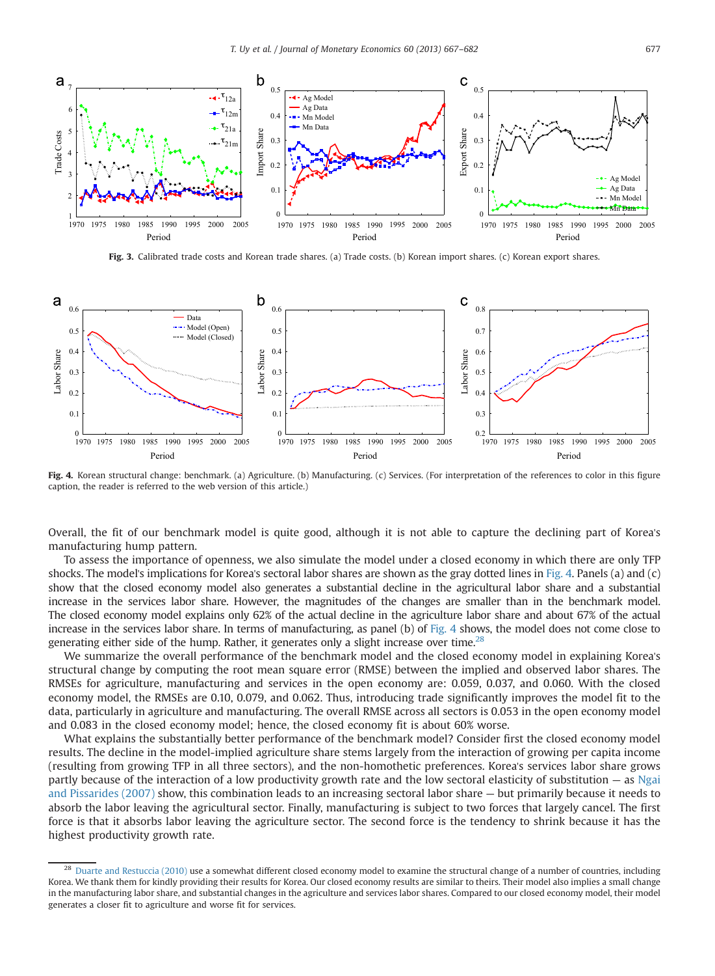<span id="page-10-0"></span>

Fig. 3. Calibrated trade costs and Korean trade shares. (a) Trade costs. (b) Korean import shares. (c) Korean export shares.



Fig. 4. Korean structural change: benchmark. (a) Agriculture. (b) Manufacturing. (c) Services. (For interpretation of the references to color in this figure caption, the reader is referred to the web version of this article.)

Overall, the fit of our benchmark model is quite good, although it is not able to capture the declining part of Korea's manufacturing hump pattern.

To assess the importance of openness, we also simulate the model under a closed economy in which there are only TFP shocks. The model's implications for Korea's sectoral labor shares are shown as the gray dotted lines in Fig. 4. Panels (a) and (c) show that the closed economy model also generates a substantial decline in the agricultural labor share and a substantial increase in the services labor share. However, the magnitudes of the changes are smaller than in the benchmark model. The closed economy model explains only 62% of the actual decline in the agriculture labor share and about 67% of the actual increase in the services labor share. In terms of manufacturing, as panel (b) of Fig. 4 shows, the model does not come close to generating either side of the hump. Rather, it generates only a slight increase over time.<sup>28</sup>

We summarize the overall performance of the benchmark model and the closed economy model in explaining Korea's structural change by computing the root mean square error (RMSE) between the implied and observed labor shares. The RMSEs for agriculture, manufacturing and services in the open economy are: 0.059, 0.037, and 0.060. With the closed economy model, the RMSEs are 0.10, 0.079, and 0.062. Thus, introducing trade significantly improves the model fit to the data, particularly in agriculture and manufacturing. The overall RMSE across all sectors is 0.053 in the open economy model and 0.083 in the closed economy model; hence, the closed economy fit is about 60% worse.

What explains the substantially better performance of the benchmark model? Consider first the closed economy model results. The decline in the model-implied agriculture share stems largely from the interaction of growing per capita income (resulting from growing TFP in all three sectors), and the non-homothetic preferences. Korea's services labor share grows partly because of the interaction of a low productivity growth rate and the low sectoral elasticity of substitution — as [Ngai](#page-15-0) [and Pissarides \(2007\)](#page-15-0) show, this combination leads to an increasing sectoral labor share — but primarily because it needs to absorb the labor leaving the agricultural sector. Finally, manufacturing is subject to two forces that largely cancel. The first force is that it absorbs labor leaving the agriculture sector. The second force is the tendency to shrink because it has the highest productivity growth rate.

 $28$  [Duarte and Restuccia \(2010\)](#page-15-0) use a somewhat different closed economy model to examine the structural change of a number of countries, including Korea. We thank them for kindly providing their results for Korea. Our closed economy results are similar to theirs. Their model also implies a small change in the manufacturing labor share, and substantial changes in the agriculture and services labor shares. Compared to our closed economy model, their model generates a closer fit to agriculture and worse fit for services.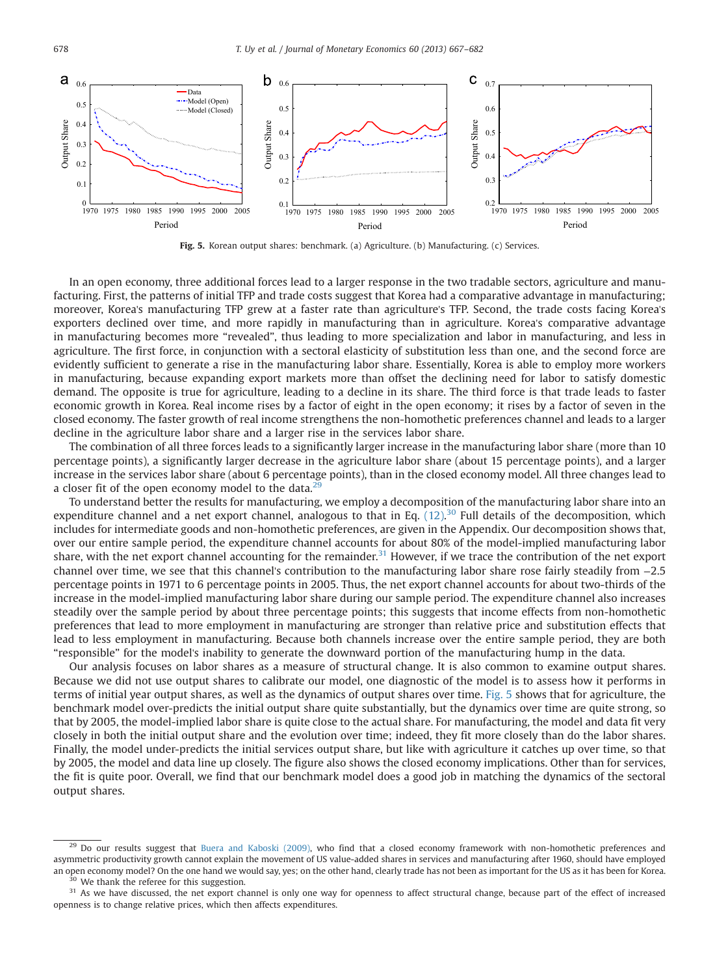

Fig. 5. Korean output shares: benchmark. (a) Agriculture. (b) Manufacturing. (c) Services.

In an open economy, three additional forces lead to a larger response in the two tradable sectors, agriculture and manufacturing. First, the patterns of initial TFP and trade costs suggest that Korea had a comparative advantage in manufacturing; moreover, Korea's manufacturing TFP grew at a faster rate than agriculture's TFP. Second, the trade costs facing Korea's exporters declined over time, and more rapidly in manufacturing than in agriculture. Korea's comparative advantage in manufacturing becomes more "revealed", thus leading to more specialization and labor in manufacturing, and less in agriculture. The first force, in conjunction with a sectoral elasticity of substitution less than one, and the second force are evidently sufficient to generate a rise in the manufacturing labor share. Essentially, Korea is able to employ more workers in manufacturing, because expanding export markets more than offset the declining need for labor to satisfy domestic demand. The opposite is true for agriculture, leading to a decline in its share. The third force is that trade leads to faster economic growth in Korea. Real income rises by a factor of eight in the open economy; it rises by a factor of seven in the closed economy. The faster growth of real income strengthens the non-homothetic preferences channel and leads to a larger decline in the agriculture labor share and a larger rise in the services labor share.

The combination of all three forces leads to a significantly larger increase in the manufacturing labor share (more than 10 percentage points), a significantly larger decrease in the agriculture labor share (about 15 percentage points), and a larger increase in the services labor share (about 6 percentage points), than in the closed economy model. All three changes lead to a closer fit of the open economy model to the data. $2<sup>2</sup>$ 

To understand better the results for manufacturing, we employ a decomposition of the manufacturing labor share into an expenditure channel and a net export channel, analogous to that in Eq.  $(12)$ .<sup>30</sup> Full details of the decomposition, which includes for intermediate goods and non-homothetic preferences, are given in the Appendix. Our decomposition shows that, over our entire sample period, the expenditure channel accounts for about 80% of the model-implied manufacturing labor share, with the net export channel accounting for the remainder.<sup>31</sup> However, if we trace the contribution of the net export channel over time, we see that this channel's contribution to the manufacturing labor share rose fairly steadily from −2.5 percentage points in 1971 to 6 percentage points in 2005. Thus, the net export channel accounts for about two-thirds of the increase in the model-implied manufacturing labor share during our sample period. The expenditure channel also increases steadily over the sample period by about three percentage points; this suggests that income effects from non-homothetic preferences that lead to more employment in manufacturing are stronger than relative price and substitution effects that lead to less employment in manufacturing. Because both channels increase over the entire sample period, they are both "responsible" for the model's inability to generate the downward portion of the manufacturing hump in the data.

Our analysis focuses on labor shares as a measure of structural change. It is also common to examine output shares. Because we did not use output shares to calibrate our model, one diagnostic of the model is to assess how it performs in terms of initial year output shares, as well as the dynamics of output shares over time. Fig. 5 shows that for agriculture, the benchmark model over-predicts the initial output share quite substantially, but the dynamics over time are quite strong, so that by 2005, the model-implied labor share is quite close to the actual share. For manufacturing, the model and data fit very closely in both the initial output share and the evolution over time; indeed, they fit more closely than do the labor shares. Finally, the model under-predicts the initial services output share, but like with agriculture it catches up over time, so that by 2005, the model and data line up closely. The figure also shows the closed economy implications. Other than for services, the fit is quite poor. Overall, we find that our benchmark model does a good job in matching the dynamics of the sectoral output shares.

<sup>&</sup>lt;sup>29</sup> Do our results suggest that [Buera and Kaboski \(2009\)](#page-14-0), who find that a closed economy framework with non-homothetic preferences and asymmetric productivity growth cannot explain the movement of US value-added shares in services and manufacturing after 1960, should have employed an open economy model? On the one hand we would say, yes; on the other hand, clearly trade has not been as important for the US as it has been for Korea.

<sup>&</sup>lt;sup>30</sup> We thank the referee for this suggestion.

<sup>&</sup>lt;sup>31</sup> As we have discussed, the net export channel is only one way for openness to affect structural change, because part of the effect of increased openness is to change relative prices, which then affects expenditures.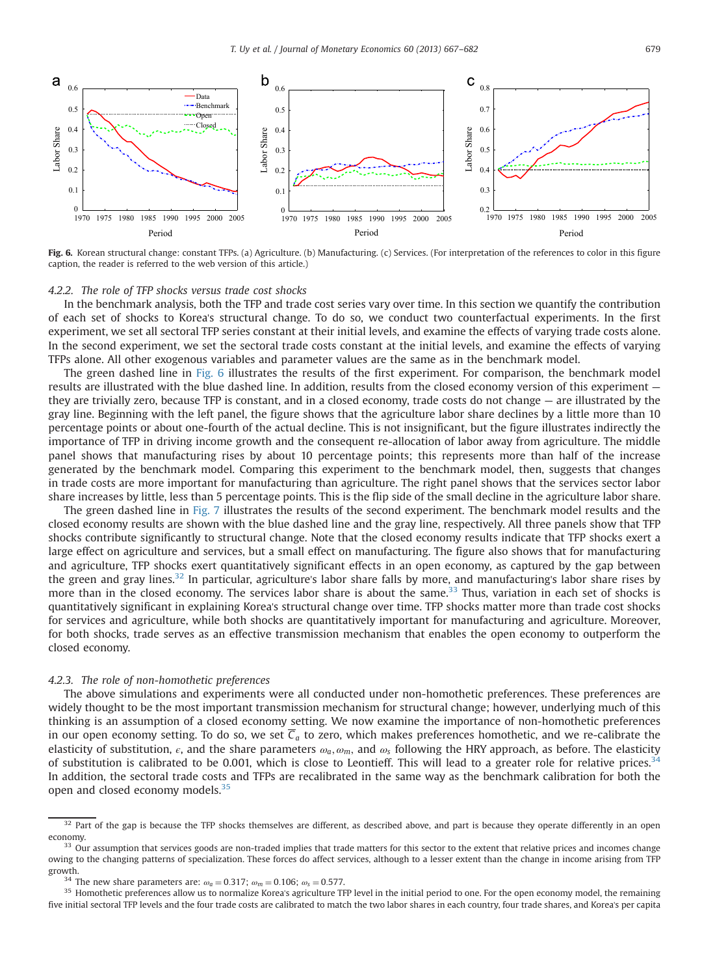

Fig. 6. Korean structural change: constant TFPs. (a) Agriculture. (b) Manufacturing. (c) Services. (For interpretation of the references to color in this figure caption, the reader is referred to the web version of this article.)

#### 4.2.2. The role of TFP shocks versus trade cost shocks

In the benchmark analysis, both the TFP and trade cost series vary over time. In this section we quantify the contribution of each set of shocks to Korea's structural change. To do so, we conduct two counterfactual experiments. In the first experiment, we set all sectoral TFP series constant at their initial levels, and examine the effects of varying trade costs alone. In the second experiment, we set the sectoral trade costs constant at the initial levels, and examine the effects of varying TFPs alone. All other exogenous variables and parameter values are the same as in the benchmark model.

The green dashed line in Fig. 6 illustrates the results of the first experiment. For comparison, the benchmark model results are illustrated with the blue dashed line. In addition, results from the closed economy version of this experiment they are trivially zero, because TFP is constant, and in a closed economy, trade costs do not change — are illustrated by the gray line. Beginning with the left panel, the figure shows that the agriculture labor share declines by a little more than 10 percentage points or about one-fourth of the actual decline. This is not insignificant, but the figure illustrates indirectly the importance of TFP in driving income growth and the consequent re-allocation of labor away from agriculture. The middle panel shows that manufacturing rises by about 10 percentage points; this represents more than half of the increase generated by the benchmark model. Comparing this experiment to the benchmark model, then, suggests that changes in trade costs are more important for manufacturing than agriculture. The right panel shows that the services sector labor share increases by little, less than 5 percentage points. This is the flip side of the small decline in the agriculture labor share.

The green dashed line in [Fig. 7](#page-13-0) illustrates the results of the second experiment. The benchmark model results and the closed economy results are shown with the blue dashed line and the gray line, respectively. All three panels show that TFP shocks contribute significantly to structural change. Note that the closed economy results indicate that TFP shocks exert a large effect on agriculture and services, but a small effect on manufacturing. The figure also shows that for manufacturing and agriculture, TFP shocks exert quantitatively significant effects in an open economy, as captured by the gap between the green and gray lines. $32$  In particular, agriculture's labor share falls by more, and manufacturing's labor share rises by more than in the closed economy. The services labor share is about the same.<sup>33</sup> Thus, variation in each set of shocks is quantitatively significant in explaining Korea's structural change over time. TFP shocks matter more than trade cost shocks for services and agriculture, while both shocks are quantitatively important for manufacturing and agriculture. Moreover, for both shocks, trade serves as an effective transmission mechanism that enables the open economy to outperform the closed economy.

#### 4.2.3. The role of non-homothetic preferences

The above simulations and experiments were all conducted under non-homothetic preferences. These preferences are widely thought to be the most important transmission mechanism for structural change; however, underlying much of this thinking is an assumption of a closed economy setting. We now examine the importance of non-homothetic preferences in our open economy setting. To do so, we set  $\overline{C}_a$  to zero, which makes preferences homothetic, and we re-calibrate the elasticity of substitution,  $\epsilon$ , and the share parameters  $\omega_a$ ,  $\omega_m$ , and  $\omega_s$  following the HRY approach, as before. The elasticity of substitution is calibrated to be 0.001, which is close to Leontieff. This will lead to a greater role for relative prices.<sup>34</sup> In addition, the sectoral trade costs and TFPs are recalibrated in the same way as the benchmark calibration for both the open and closed economy models.<sup>35</sup>

<sup>35</sup> Homothetic preferences allow us to normalize Korea's agriculture TFP level in the initial period to one. For the open economy model, the remaining five initial sectoral TFP levels and the four trade costs are calibrated to match the two labor shares in each country, four trade shares, and Korea's per capita

 $32$  Part of the gap is because the TFP shocks themselves are different, as described above, and part is because they operate differently in an open economy.

<sup>&</sup>lt;sup>33</sup> Our assumption that services goods are non-traded implies that trade matters for this sector to the extent that relative prices and incomes change owing to the changing patterns of specialization. These forces do affect services, although to a lesser extent than the change in income arising from TFP growth.<br><sup>34</sup> The new share parameters are:  $\omega_a = 0.317$ ;  $\omega_m = 0.106$ ;  $\omega_s = 0.577$ .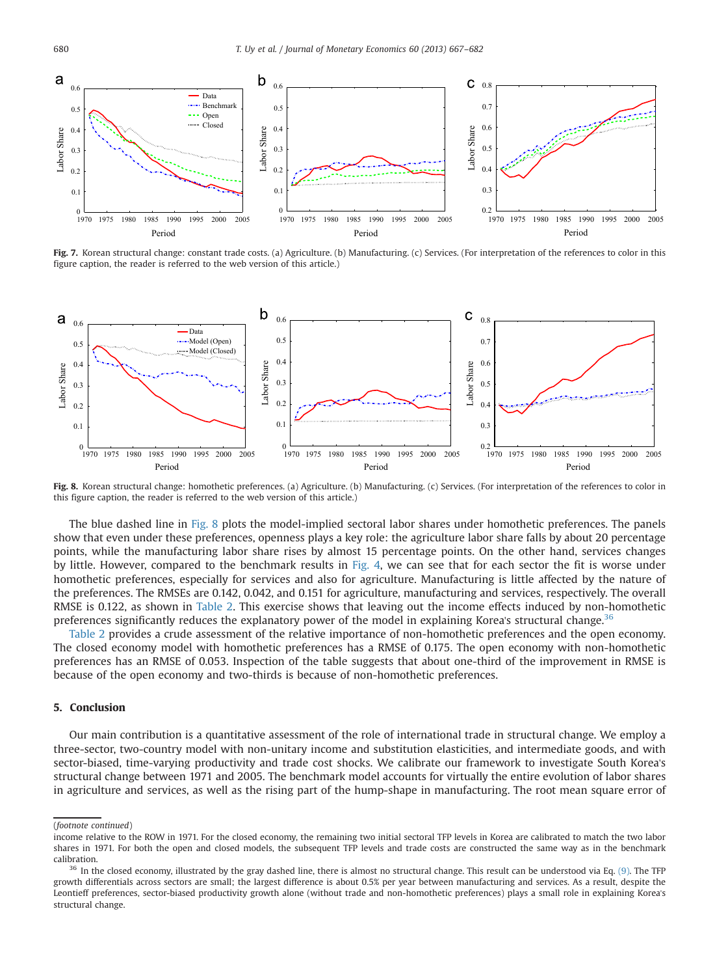<span id="page-13-0"></span>

Fig. 7. Korean structural change: constant trade costs. (a) Agriculture. (b) Manufacturing. (c) Services. (For interpretation of the references to color in this figure caption, the reader is referred to the web version of this article.)



Fig. 8. Korean structural change: homothetic preferences. (a) Agriculture. (b) Manufacturing. (c) Services. (For interpretation of the references to color in this figure caption, the reader is referred to the web version of this article.)

The blue dashed line in Fig. 8 plots the model-implied sectoral labor shares under homothetic preferences. The panels show that even under these preferences, openness plays a key role: the agriculture labor share falls by about 20 percentage points, while the manufacturing labor share rises by almost 15 percentage points. On the other hand, services changes by little. However, compared to the benchmark results in [Fig. 4,](#page-10-0) we can see that for each sector the fit is worse under homothetic preferences, especially for services and also for agriculture. Manufacturing is little affected by the nature of the preferences. The RMSEs are 0.142, 0.042, and 0.151 for agriculture, manufacturing and services, respectively. The overall RMSE is 0.122, as shown in [Table 2](#page-14-0). This exercise shows that leaving out the income effects induced by non-homothetic preferences significantly reduces the explanatory power of the model in explaining Korea's structural change.<sup>36</sup>

[Table 2](#page-14-0) provides a crude assessment of the relative importance of non-homothetic preferences and the open economy. The closed economy model with homothetic preferences has a RMSE of 0.175. The open economy with non-homothetic preferences has an RMSE of 0.053. Inspection of the table suggests that about one-third of the improvement in RMSE is because of the open economy and two-thirds is because of non-homothetic preferences.

#### 5. Conclusion

Our main contribution is a quantitative assessment of the role of international trade in structural change. We employ a three-sector, two-country model with non-unitary income and substitution elasticities, and intermediate goods, and with sector-biased, time-varying productivity and trade cost shocks. We calibrate our framework to investigate South Korea's structural change between 1971 and 2005. The benchmark model accounts for virtually the entire evolution of labor shares in agriculture and services, as well as the rising part of the hump-shape in manufacturing. The root mean square error of

<sup>(</sup>footnote continued)

income relative to the ROW in 1971. For the closed economy, the remaining two initial sectoral TFP levels in Korea are calibrated to match the two labor shares in 1971. For both the open and closed models, the subsequent TFP levels and trade costs are constructed the same way as in the benchmark calibration.

 $36$  In the closed economy, illustrated by the gray dashed line, there is almost no structural change. This result can be understood via Eq. [\(9\).](#page-4-0) The TFP growth differentials across sectors are small; the largest difference is about 0.5% per year between manufacturing and services. As a result, despite the Leontieff preferences, sector-biased productivity growth alone (without trade and non-homothetic preferences) plays a small role in explaining Korea's structural change.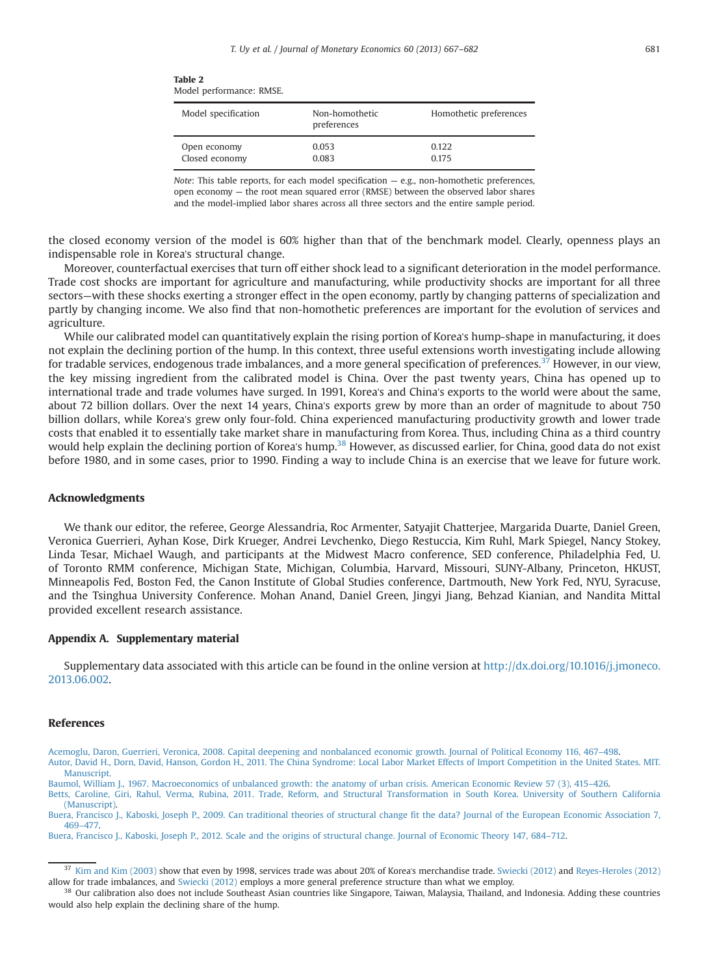| Model specification            | Non-homothetic<br>preferences | Homothetic preferences |  |  |  |  |
|--------------------------------|-------------------------------|------------------------|--|--|--|--|
| Open economy<br>Closed economy | 0.053<br>0.083                | 0.122<br>0.175         |  |  |  |  |

<span id="page-14-0"></span>

| Table 2                  |  |
|--------------------------|--|
| Model performance: RMSE. |  |

Note: This table reports, for each model specification — e.g., non-homothetic preferences, open economy — the root mean squared error (RMSE) between the observed labor shares and the model-implied labor shares across all three sectors and the entire sample period.

the closed economy version of the model is 60% higher than that of the benchmark model. Clearly, openness plays an indispensable role in Korea's structural change.

Moreover, counterfactual exercises that turn off either shock lead to a significant deterioration in the model performance. Trade cost shocks are important for agriculture and manufacturing, while productivity shocks are important for all three sectors—with these shocks exerting a stronger effect in the open economy, partly by changing patterns of specialization and partly by changing income. We also find that non-homothetic preferences are important for the evolution of services and agriculture.

While our calibrated model can quantitatively explain the rising portion of Korea's hump-shape in manufacturing, it does not explain the declining portion of the hump. In this context, three useful extensions worth investigating include allowing for tradable services, endogenous trade imbalances, and a more general specification of preferences.<sup>37</sup> However, in our view, the key missing ingredient from the calibrated model is China. Over the past twenty years, China has opened up to international trade and trade volumes have surged. In 1991, Korea's and China's exports to the world were about the same, about 72 billion dollars. Over the next 14 years, China's exports grew by more than an order of magnitude to about 750 billion dollars, while Korea's grew only four-fold. China experienced manufacturing productivity growth and lower trade costs that enabled it to essentially take market share in manufacturing from Korea. Thus, including China as a third country would help explain the declining portion of Korea's hump.<sup>38</sup> However, as discussed earlier, for China, good data do not exist before 1980, and in some cases, prior to 1990. Finding a way to include China is an exercise that we leave for future work.

#### Acknowledgments

We thank our editor, the referee, George Alessandria, Roc Armenter, Satyajit Chatterjee, Margarida Duarte, Daniel Green, Veronica Guerrieri, Ayhan Kose, Dirk Krueger, Andrei Levchenko, Diego Restuccia, Kim Ruhl, Mark Spiegel, Nancy Stokey, Linda Tesar, Michael Waugh, and participants at the Midwest Macro conference, SED conference, Philadelphia Fed, U. of Toronto RMM conference, Michigan State, Michigan, Columbia, Harvard, Missouri, SUNY-Albany, Princeton, HKUST, Minneapolis Fed, Boston Fed, the Canon Institute of Global Studies conference, Dartmouth, New York Fed, NYU, Syracuse, and the Tsinghua University Conference. Mohan Anand, Daniel Green, Jingyi Jiang, Behzad Kianian, and Nandita Mittal provided excellent research assistance.

#### Appendix A. Supplementary material

Supplementary data associated with this article can be found in the online version at [http://dx.doi.org/10.1016/j.jmoneco.](http://dx.doi.org/10.1016/j.jmoneco.2013.06.002) [2013.06.002.](http://dx.doi.org/10.1016/j.jmoneco.2013.06.002)

#### References

[Acemoglu, Daron, Guerrieri, Veronica, 2008. Capital deepening and nonbalanced economic growth. Journal of Political Economy 116, 467](http://refhub.elsevier.com/S0304-3932(13)00086-X/sbref1)–498.

[Autor, David H., Dorn, David, Hanson, Gordon H., 2011. The China Syndrome: Local Labor Market Effects of Import Competition in the United States. MIT.](http://refhub.elsevier.com/S0304-3932(13)00086-X/othref0005) [Manuscript.](http://refhub.elsevier.com/S0304-3932(13)00086-X/othref0005)

[Baumol, William J., 1967. Macroeconomics of unbalanced growth: the anatomy of urban crisis. American Economic Review 57 \(3\), 415](http://refhub.elsevier.com/S0304-3932(13)00086-X/sbref3)-426.

[Betts, Caroline, Giri, Rahul, Verma, Rubina, 2011. Trade, Reform, and Structural Transformation in South Korea. University of Southern California](http://refhub.elsevier.com/S0304-3932(13)00086-X/sbref4) [\(Manuscript\).](http://refhub.elsevier.com/S0304-3932(13)00086-X/sbref4)

[Buera, Francisco J., Kaboski, Joseph P., 2009. Can traditional theories of structural change fit the data? Journal of the European Economic Association 7,](http://refhub.elsevier.com/S0304-3932(13)00086-X/sbref5) 469–[477.](http://refhub.elsevier.com/S0304-3932(13)00086-X/sbref5)

[Buera, Francisco J., Kaboski, Joseph P., 2012. Scale and the origins of structural change. Journal of Economic Theory 147, 684](http://refhub.elsevier.com/S0304-3932(13)00086-X/sbref6)–712.

 $\frac{37}{100}$  [Kim and Kim \(2003\)](#page-15-0) show that even by 1998, services trade was about 20% of Korea's merchandise trade. [Swiecki \(2012\)](#page-15-0) and [Reyes-Heroles \(2012\)](#page-15-0) allow for trade imbalances, and [Swiecki \(2012\)](#page-15-0) employs a more general preference structure than what we employ.

<sup>&</sup>lt;sup>38</sup> Our calibration also does not include Southeast Asian countries like Singapore, Taiwan, Malaysia, Thailand, and Indonesia. Adding these countries would also help explain the declining share of the hump.